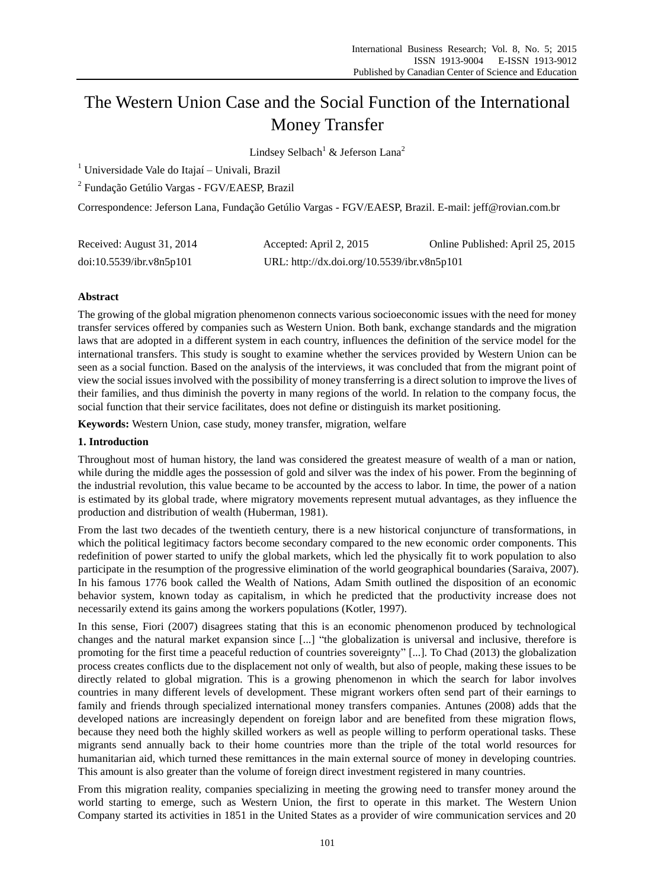# The Western Union Case and the Social Function of the International Money Transfer

Lindsey Selbach<sup>1</sup> & Jeferson Lana<sup>2</sup>

<sup>1</sup> Universidade Vale do Itaja í – Univali, Brazil

<sup>2</sup> Funda ção Get úlio Vargas - FGV/EAESP, Brazil

Correspondence: Jeferson Lana, Fundação Getúlio Vargas - FGV/EAESP, Brazil. E-mail: jeff@rovian.com.br

| Received: August 31, 2014 | Accepted: April 2, 2015                     | Online Published: April 25, 2015 |
|---------------------------|---------------------------------------------|----------------------------------|
| doi:10.5539/ibr.v8n5p101  | URL: http://dx.doi.org/10.5539/ibr.v8n5p101 |                                  |

## **Abstract**

The growing of the global migration phenomenon connects various socioeconomic issues with the need for money transfer services offered by companies such as Western Union. Both bank, exchange standards and the migration laws that are adopted in a different system in each country, influences the definition of the service model for the international transfers. This study is sought to examine whether the services provided by Western Union can be seen as a social function. Based on the analysis of the interviews, it was concluded that from the migrant point of view the social issues involved with the possibility of money transferring is a direct solution to improve the lives of their families, and thus diminish the poverty in many regions of the world. In relation to the company focus, the social function that their service facilitates, does not define or distinguish its market positioning.

**Keywords:** Western Union, case study, money transfer, migration, welfare

# **1. Introduction**

Throughout most of human history, the land was considered the greatest measure of wealth of a man or nation, while during the middle ages the possession of gold and silver was the index of his power. From the beginning of the industrial revolution, this value became to be accounted by the access to labor. In time, the power of a nation is estimated by its global trade, where migratory movements represent mutual advantages, as they influence the production and distribution of wealth (Huberman, 1981).

From the last two decades of the twentieth century, there is a new historical conjuncture of transformations, in which the political legitimacy factors become secondary compared to the new economic order components. This redefinition of power started to unify the global markets, which led the physically fit to work population to also participate in the resumption of the progressive elimination of the world geographical boundaries (Saraiva, 2007). In his famous 1776 book called the Wealth of Nations, Adam Smith outlined the disposition of an economic behavior system, known today as capitalism, in which he predicted that the productivity increase does not necessarily extend its gains among the workers populations (Kotler, 1997).

In this sense, Fiori (2007) disagrees stating that this is an economic phenomenon produced by technological changes and the natural market expansion since [...] "the globalization is universal and inclusive, therefore is promoting for the first time a peaceful reduction of countries sovereignty" [...]. To Chad (2013) the globalization process creates conflicts due to the displacement not only of wealth, but also of people, making these issues to be directly related to global migration. This is a growing phenomenon in which the search for labor involves countries in many different levels of development. These migrant workers often send part of their earnings to family and friends through specialized international money transfers companies. Antunes (2008) adds that the developed nations are increasingly dependent on foreign labor and are benefited from these migration flows, because they need both the highly skilled workers as well as people willing to perform operational tasks. These migrants send annually back to their home countries more than the triple of the total world resources for humanitarian aid, which turned these remittances in the main external source of money in developing countries. This amount is also greater than the volume of foreign direct investment registered in many countries.

From this migration reality, companies specializing in meeting the growing need to transfer money around the world starting to emerge, such as Western Union, the first to operate in this market. The Western Union Company started its activities in 1851 in the United States as a provider of wire communication services and 20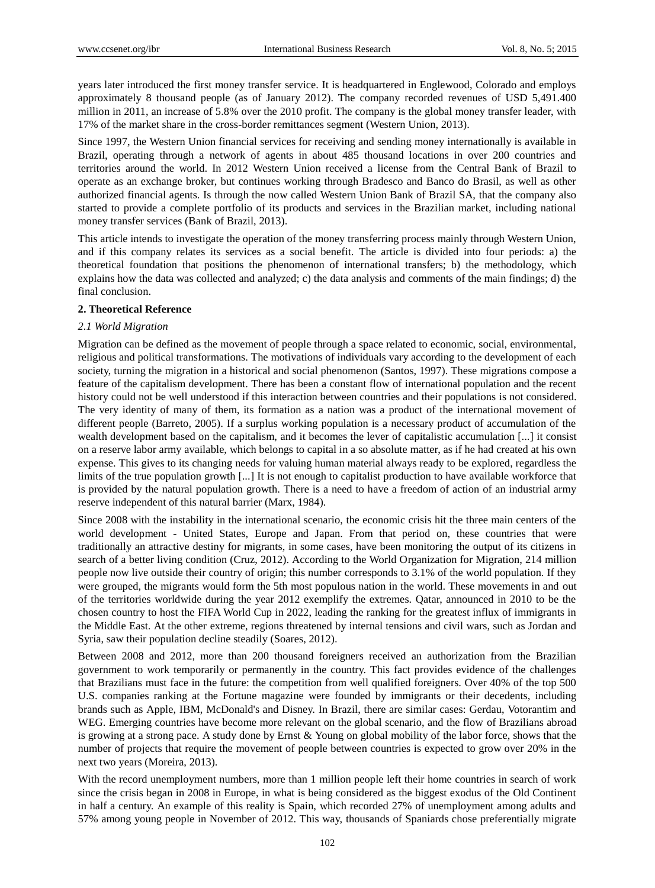years later introduced the first money transfer service. It is headquartered in Englewood, Colorado and employs approximately 8 thousand people (as of January 2012). The company recorded revenues of USD 5,491.400 million in 2011, an increase of 5.8% over the 2010 profit. The company is the global money transfer leader, with 17% of the market share in the cross-border remittances segment (Western Union, 2013).

Since 1997, the Western Union financial services for receiving and sending money internationally is available in Brazil, operating through a network of agents in about 485 thousand locations in over 200 countries and territories around the world. In 2012 Western Union received a license from the Central Bank of Brazil to operate as an exchange broker, but continues working through Bradesco and Banco do Brasil, as well as other authorized financial agents. Is through the now called Western Union Bank of Brazil SA, that the company also started to provide a complete portfolio of its products and services in the Brazilian market, including national money transfer services (Bank of Brazil, 2013).

This article intends to investigate the operation of the money transferring process mainly through Western Union, and if this company relates its services as a social benefit. The article is divided into four periods: a) the theoretical foundation that positions the phenomenon of international transfers; b) the methodology, which explains how the data was collected and analyzed; c) the data analysis and comments of the main findings; d) the final conclusion.

#### **2. Theoretical Reference**

## *2.1 World Migration*

Migration can be defined as the movement of people through a space related to economic, social, environmental, religious and political transformations. The motivations of individuals vary according to the development of each society, turning the migration in a historical and social phenomenon (Santos, 1997). These migrations compose a feature of the capitalism development. There has been a constant flow of international population and the recent history could not be well understood if this interaction between countries and their populations is not considered. The very identity of many of them, its formation as a nation was a product of the international movement of different people (Barreto, 2005). If a surplus working population is a necessary product of accumulation of the wealth development based on the capitalism, and it becomes the lever of capitalistic accumulation [...] it consist on a reserve labor army available, which belongs to capital in a so absolute matter, as if he had created at his own expense. This gives to its changing needs for valuing human material always ready to be explored, regardless the limits of the true population growth [...] It is not enough to capitalist production to have available workforce that is provided by the natural population growth. There is a need to have a freedom of action of an industrial army reserve independent of this natural barrier (Marx, 1984).

Since 2008 with the instability in the international scenario, the economic crisis hit the three main centers of the world development - United States, Europe and Japan. From that period on, these countries that were traditionally an attractive destiny for migrants, in some cases, have been monitoring the output of its citizens in search of a better living condition (Cruz, 2012). According to the World Organization for Migration, 214 million people now live outside their country of origin; this number corresponds to 3.1% of the world population. If they were grouped, the migrants would form the 5th most populous nation in the world. These movements in and out of the territories worldwide during the year 2012 exemplify the extremes. Qatar, announced in 2010 to be the chosen country to host the FIFA World Cup in 2022, leading the ranking for the greatest influx of immigrants in the Middle East. At the other extreme, regions threatened by internal tensions and civil wars, such as Jordan and Syria, saw their population decline steadily (Soares, 2012).

Between 2008 and 2012, more than 200 thousand foreigners received an authorization from the Brazilian government to work temporarily or permanently in the country. This fact provides evidence of the challenges that Brazilians must face in the future: the competition from well qualified foreigners. Over 40% of the top 500 U.S. companies ranking at the Fortune magazine were founded by immigrants or their decedents, including brands such as Apple, IBM, McDonald's and Disney. In Brazil, there are similar cases: Gerdau, Votorantim and WEG. Emerging countries have become more relevant on the global scenario, and the flow of Brazilians abroad is growing at a strong pace. A study done by Ernst & Young on global mobility of the labor force, shows that the number of projects that require the movement of people between countries is expected to grow over 20% in the next two years (Moreira, 2013).

With the record unemployment numbers, more than 1 million people left their home countries in search of work since the crisis began in 2008 in Europe, in what is being considered as the biggest exodus of the Old Continent in half a century. An example of this reality is Spain, which recorded 27% of unemployment among adults and 57% among young people in November of 2012. This way, thousands of Spaniards chose preferentially migrate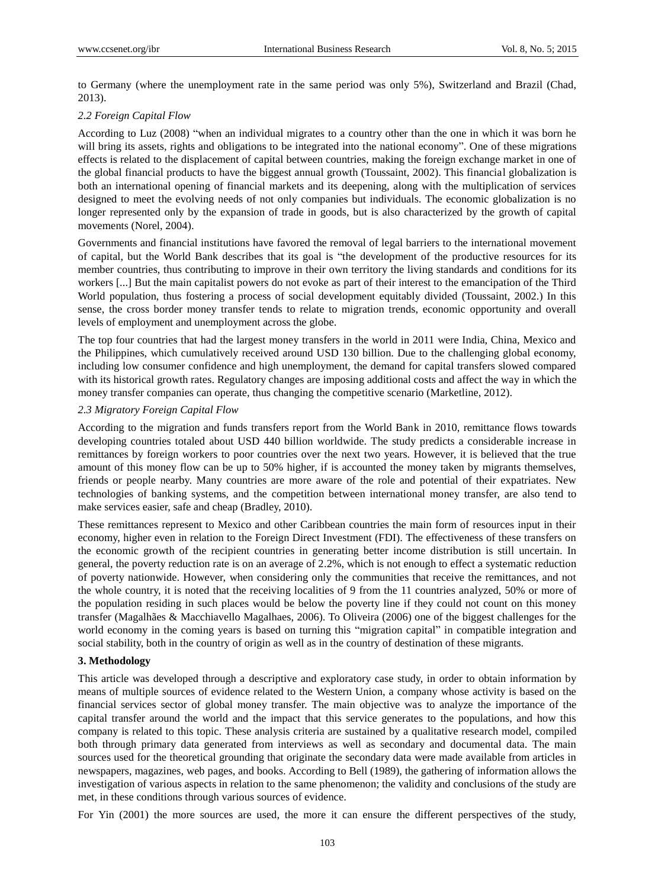to Germany (where the unemployment rate in the same period was only 5%), Switzerland and Brazil (Chad, 2013).

### *2.2 Foreign Capital Flow*

According to Luz (2008) "when an individual migrates to a country other than the one in which it was born he will bring its assets, rights and obligations to be integrated into the national economy". One of these migrations effects is related to the displacement of capital between countries, making the foreign exchange market in one of the global financial products to have the biggest annual growth (Toussaint, 2002). This financial globalization is both an international opening of financial markets and its deepening, along with the multiplication of services designed to meet the evolving needs of not only companies but individuals. The economic globalization is no longer represented only by the expansion of trade in goods, but is also characterized by the growth of capital movements (Norel, 2004).

Governments and financial institutions have favored the removal of legal barriers to the international movement of capital, but the World Bank describes that its goal is "the development of the productive resources for its member countries, thus contributing to improve in their own territory the living standards and conditions for its workers [...] But the main capitalist powers do not evoke as part of their interest to the emancipation of the Third World population, thus fostering a process of social development equitably divided (Toussaint, 2002.) In this sense, the cross border money transfer tends to relate to migration trends, economic opportunity and overall levels of employment and unemployment across the globe.

The top four countries that had the largest money transfers in the world in 2011 were India, China, Mexico and the Philippines, which cumulatively received around USD 130 billion. Due to the challenging global economy, including low consumer confidence and high unemployment, the demand for capital transfers slowed compared with its historical growth rates. Regulatory changes are imposing additional costs and affect the way in which the money transfer companies can operate, thus changing the competitive scenario (Marketline, 2012).

## *2.3 Migratory Foreign Capital Flow*

According to the migration and funds transfers report from the World Bank in 2010, remittance flows towards developing countries totaled about USD 440 billion worldwide. The study predicts a considerable increase in remittances by foreign workers to poor countries over the next two years. However, it is believed that the true amount of this money flow can be up to 50% higher, if is accounted the money taken by migrants themselves, friends or people nearby. Many countries are more aware of the role and potential of their expatriates. New technologies of banking systems, and the competition between international money transfer, are also tend to make services easier, safe and cheap (Bradley, 2010).

These remittances represent to Mexico and other Caribbean countries the main form of resources input in their economy, higher even in relation to the Foreign Direct Investment (FDI). The effectiveness of these transfers on the economic growth of the recipient countries in generating better income distribution is still uncertain. In general, the poverty reduction rate is on an average of 2.2%, which is not enough to effect a systematic reduction of poverty nationwide. However, when considering only the communities that receive the remittances, and not the whole country, it is noted that the receiving localities of 9 from the 11 countries analyzed, 50% or more of the population residing in such places would be below the poverty line if they could not count on this money transfer (Magalhães & Macchiavello Magalhaes, 2006). To Oliveira (2006) one of the biggest challenges for the world economy in the coming years is based on turning this "migration capital" in compatible integration and social stability, both in the country of origin as well as in the country of destination of these migrants.

## **3. Methodology**

This article was developed through a descriptive and exploratory case study, in order to obtain information by means of multiple sources of evidence related to the Western Union, a company whose activity is based on the financial services sector of global money transfer. The main objective was to analyze the importance of the capital transfer around the world and the impact that this service generates to the populations, and how this company is related to this topic. These analysis criteria are sustained by a qualitative research model, compiled both through primary data generated from interviews as well as secondary and documental data. The main sources used for the theoretical grounding that originate the secondary data were made available from articles in newspapers, magazines, web pages, and books. According to Bell (1989), the gathering of information allows the investigation of various aspects in relation to the same phenomenon; the validity and conclusions of the study are met, in these conditions through various sources of evidence.

For Yin (2001) the more sources are used, the more it can ensure the different perspectives of the study,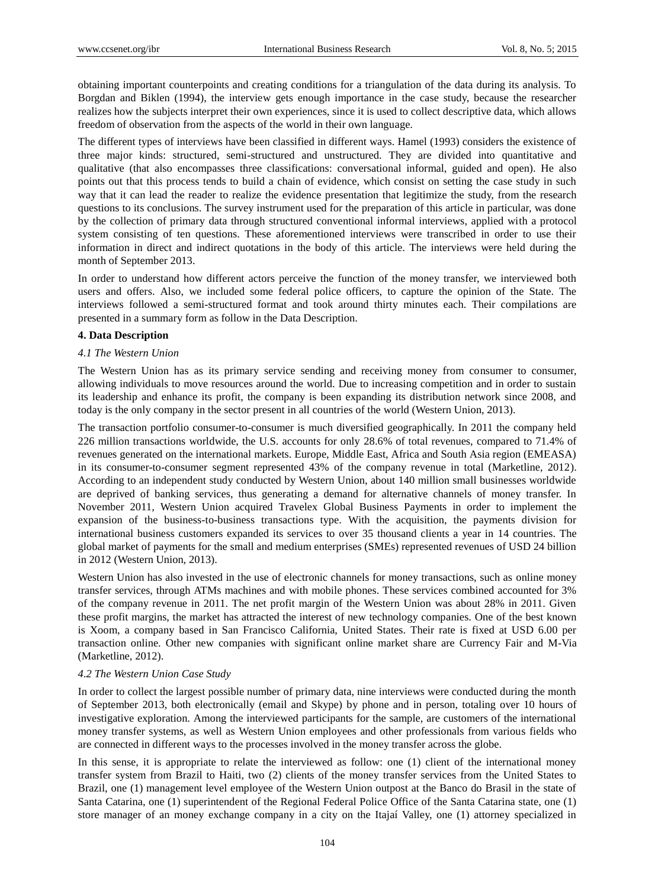obtaining important counterpoints and creating conditions for a triangulation of the data during its analysis. To Borgdan and Biklen (1994), the interview gets enough importance in the case study, because the researcher realizes how the subjects interpret their own experiences, since it is used to collect descriptive data, which allows freedom of observation from the aspects of the world in their own language.

The different types of interviews have been classified in different ways. Hamel (1993) considers the existence of three major kinds: structured, semi-structured and unstructured. They are divided into quantitative and qualitative (that also encompasses three classifications: conversational informal, guided and open). He also points out that this process tends to build a chain of evidence, which consist on setting the case study in such way that it can lead the reader to realize the evidence presentation that legitimize the study, from the research questions to its conclusions. The survey instrument used for the preparation of this article in particular, was done by the collection of primary data through structured conventional informal interviews, applied with a protocol system consisting of ten questions. These aforementioned interviews were transcribed in order to use their information in direct and indirect quotations in the body of this article. The interviews were held during the month of September 2013.

In order to understand how different actors perceive the function of the money transfer, we interviewed both users and offers. Also, we included some federal police officers, to capture the opinion of the State. The interviews followed a semi-structured format and took around thirty minutes each. Their compilations are presented in a summary form as follow in the Data Description.

### **4. Data Description**

#### *4.1 The Western Union*

The Western Union has as its primary service sending and receiving money from consumer to consumer, allowing individuals to move resources around the world. Due to increasing competition and in order to sustain its leadership and enhance its profit, the company is been expanding its distribution network since 2008, and today is the only company in the sector present in all countries of the world (Western Union, 2013).

The transaction portfolio consumer-to-consumer is much diversified geographically. In 2011 the company held 226 million transactions worldwide, the U.S. accounts for only 28.6% of total revenues, compared to 71.4% of revenues generated on the international markets. Europe, Middle East, Africa and South Asia region (EMEASA) in its consumer-to-consumer segment represented 43% of the company revenue in total (Marketline, 2012). According to an independent study conducted by Western Union, about 140 million small businesses worldwide are deprived of banking services, thus generating a demand for alternative channels of money transfer. In November 2011, Western Union acquired Travelex Global Business Payments in order to implement the expansion of the business-to-business transactions type. With the acquisition, the payments division for international business customers expanded its services to over 35 thousand clients a year in 14 countries. The global market of payments for the small and medium enterprises (SMEs) represented revenues of USD 24 billion in 2012 (Western Union, 2013).

Western Union has also invested in the use of electronic channels for money transactions, such as online money transfer services, through ATMs machines and with mobile phones. These services combined accounted for 3% of the company revenue in 2011. The net profit margin of the Western Union was about 28% in 2011. Given these profit margins, the market has attracted the interest of new technology companies. One of the best known is Xoom, a company based in San Francisco California, United States. Their rate is fixed at USD 6.00 per transaction online. Other new companies with significant online market share are Currency Fair and M-Via (Marketline, 2012).

#### *4.2 The Western Union Case Study*

In order to collect the largest possible number of primary data, nine interviews were conducted during the month of September 2013, both electronically (email and Skype) by phone and in person, totaling over 10 hours of investigative exploration. Among the interviewed participants for the sample, are customers of the international money transfer systems, as well as Western Union employees and other professionals from various fields who are connected in different ways to the processes involved in the money transfer across the globe.

In this sense, it is appropriate to relate the interviewed as follow: one (1) client of the international money transfer system from Brazil to Haiti, two (2) clients of the money transfer services from the United States to Brazil, one (1) management level employee of the Western Union outpost at the Banco do Brasil in the state of Santa Catarina, one (1) superintendent of the Regional Federal Police Office of the Santa Catarina state, one (1) store manager of an money exchange company in a city on the Itajaí Valley, one (1) attorney specialized in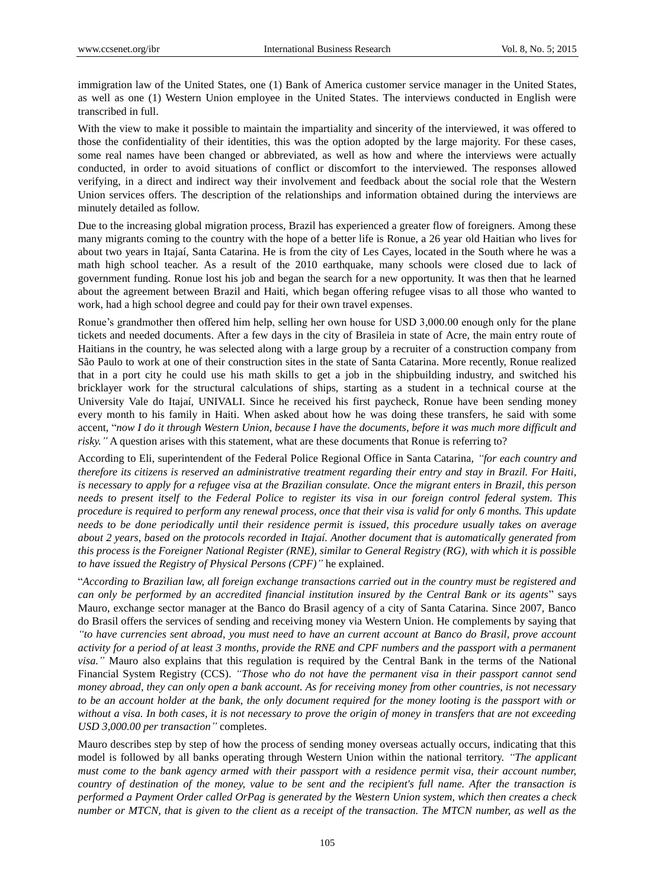immigration law of the United States, one (1) Bank of America customer service manager in the United States, as well as one (1) Western Union employee in the United States. The interviews conducted in English were transcribed in full.

With the view to make it possible to maintain the impartiality and sincerity of the interviewed, it was offered to those the confidentiality of their identities, this was the option adopted by the large majority. For these cases, some real names have been changed or abbreviated, as well as how and where the interviews were actually conducted, in order to avoid situations of conflict or discomfort to the interviewed. The responses allowed verifying, in a direct and indirect way their involvement and feedback about the social role that the Western Union services offers. The description of the relationships and information obtained during the interviews are minutely detailed as follow.

Due to the increasing global migration process, Brazil has experienced a greater flow of foreigners. Among these many migrants coming to the country with the hope of a better life is Ronue, a 26 year old Haitian who lives for about two years in Itajaí, Santa Catarina. He is from the city of Les Cayes, located in the South where he was a math high school teacher. As a result of the 2010 earthquake, many schools were closed due to lack of government funding. Ronue lost his job and began the search for a new opportunity. It was then that he learned about the agreement between Brazil and Haiti, which began offering refugee visas to all those who wanted to work, had a high school degree and could pay for their own travel expenses.

Ronue's grandmother then offered him help, selling her own house for USD 3,000.00 enough only for the plane tickets and needed documents. After a few days in the city of Brasileia in state of Acre, the main entry route of Haitians in the country, he was selected along with a large group by a recruiter of a construction company from São Paulo to work at one of their construction sites in the state of Santa Catarina. More recently, Ronue realized that in a port city he could use his math skills to get a job in the shipbuilding industry, and switched his bricklayer work for the structural calculations of ships, starting as a student in a technical course at the University Vale do Itaja í UNIVALI. Since he received his first paycheck, Ronue have been sending money every month to his family in Haiti. When asked about how he was doing these transfers, he said with some accent, "*now I do it through Western Union, because I have the documents, before it was much more difficult and risky.*" A question arises with this statement, what are these documents that Ronue is referring to?

According to Eli, superintendent of the Federal Police Regional Office in Santa Catarina, *"for each country and therefore its citizens is reserved an administrative treatment regarding their entry and stay in Brazil. For Haiti, is necessary to apply for a refugee visa at the Brazilian consulate. Once the migrant enters in Brazil, this person needs to present itself to the Federal Police to register its visa in our foreign control federal system. This procedure is required to perform any renewal process, once that their visa is valid for only 6 months. This update needs to be done periodically until their residence permit is issued, this procedure usually takes on average about 2 years, based on the protocols recorded in Itajaí. Another document that is automatically generated from this process is the Foreigner National Register (RNE), similar to General Registry (RG), with which it is possible to have issued the Registry of Physical Persons (CPF)"* he explained.

"*According to Brazilian law, all foreign exchange transactions carried out in the country must be registered and can only be performed by an accredited financial institution insured by the Central Bank or its agents*" says Mauro, exchange sector manager at the Banco do Brasil agency of a city of Santa Catarina. Since 2007, Banco do Brasil offers the services of sending and receiving money via Western Union. He complements by saying that *"to have currencies sent abroad, you must need to have an current account at Banco do Brasil, prove account activity for a period of at least 3 months, provide the RNE and CPF numbers and the passport with a permanent visa."* Mauro also explains that this regulation is required by the Central Bank in the terms of the National Financial System Registry (CCS). *"Those who do not have the permanent visa in their passport cannot send money abroad, they can only open a bank account. As for receiving money from other countries, is not necessary to be an account holder at the bank, the only document required for the money looting is the passport with or without a visa. In both cases, it is not necessary to prove the origin of money in transfers that are not exceeding USD 3,000.00 per transaction"* completes.

Mauro describes step by step of how the process of sending money overseas actually occurs, indicating that this model is followed by all banks operating through Western Union within the national territory. *"The applicant must come to the bank agency armed with their passport with a residence permit visa, their account number, country of destination of the money, value to be sent and the recipient's full name. After the transaction is performed a Payment Order called OrPag is generated by the Western Union system, which then creates a check number or MTCN, that is given to the client as a receipt of the transaction. The MTCN number, as well as the*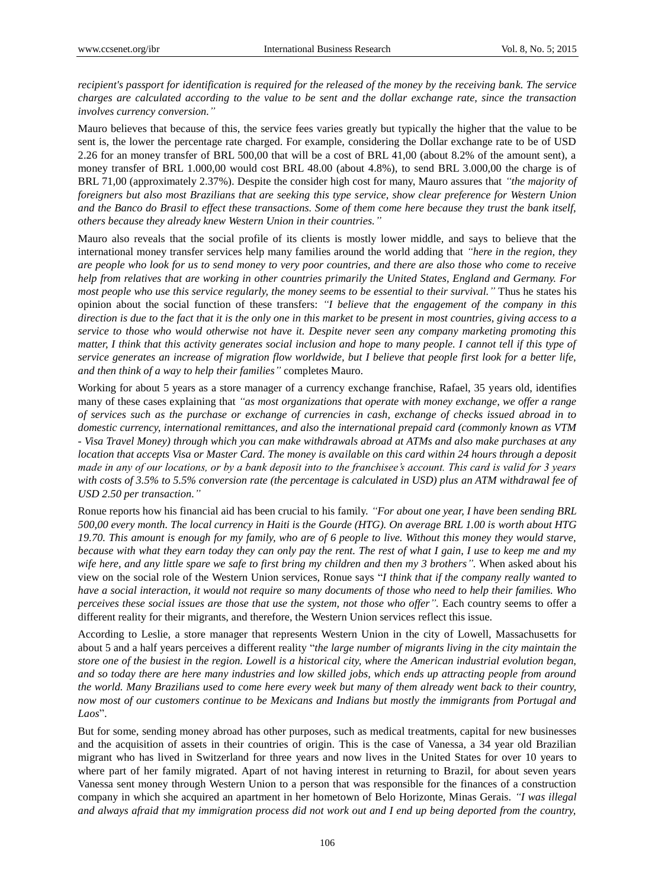*recipient's passport for identification is required for the released of the money by the receiving bank. The service charges are calculated according to the value to be sent and the dollar exchange rate, since the transaction involves currency conversion."*

Mauro believes that because of this, the service fees varies greatly but typically the higher that the value to be sent is, the lower the percentage rate charged. For example, considering the Dollar exchange rate to be of USD 2.26 for an money transfer of BRL 500,00 that will be a cost of BRL 41,00 (about 8.2% of the amount sent), a money transfer of BRL 1.000,00 would cost BRL 48.00 (about 4.8%), to send BRL 3.000,00 the charge is of BRL 71,00 (approximately 2.37%). Despite the consider high cost for many, Mauro assures that *"the majority of foreigners but also most Brazilians that are seeking this type service, show clear preference for Western Union and the Banco do Brasil to effect these transactions. Some of them come here because they trust the bank itself, others because they already knew Western Union in their countries."*

Mauro also reveals that the social profile of its clients is mostly lower middle, and says to believe that the international money transfer services help many families around the world adding that *"here in the region, they are people who look for us to send money to very poor countries, and there are also those who come to receive help from relatives that are working in other countries primarily the United States, England and Germany. For most people who use this service regularly, the money seems to be essential to their survival."* Thus he states his opinion about the social function of these transfers: *"I believe that the engagement of the company in this direction is due to the fact that it is the only one in this market to be present in most countries, giving access to a service to those who would otherwise not have it. Despite never seen any company marketing promoting this matter, I think that this activity generates social inclusion and hope to many people. I cannot tell if this type of service generates an increase of migration flow worldwide, but I believe that people first look for a better life, and then think of a way to help their families"* completes Mauro.

Working for about 5 years as a store manager of a currency exchange franchise, Rafael, 35 years old, identifies many of these cases explaining that *"as most organizations that operate with money exchange, we offer a range of services such as the purchase or exchange of currencies in cash, exchange of checks issued abroad in to domestic currency, international remittances, and also the international prepaid card (commonly known as VTM - Visa Travel Money) through which you can make withdrawals abroad at ATMs and also make purchases at any location that accepts Visa or Master Card. The money is available on this card within 24 hours through a deposit made in any of our locations, or by a bank deposit into to the franchisee's account. This card is valid for 3 years with costs of 3.5% to 5.5% conversion rate (the percentage is calculated in USD) plus an ATM withdrawal fee of USD 2.50 per transaction."*

Ronue reports how his financial aid has been crucial to his family. *"For about one year, I have been sending BRL 500,00 every month. The local currency in Haiti is the Gourde (HTG). On average BRL 1.00 is worth about HTG*  19.70. This amount is enough for my family, who are of 6 people to live. Without this money they would starve, *because with what they earn today they can only pay the rent. The rest of what I gain, I use to keep me and my wife here, and any little spare we safe to first bring my children and then my 3 brothers".* When asked about his view on the social role of the Western Union services, Ronue says "*I think that if the company really wanted to have a social interaction, it would not require so many documents of those who need to help their families. Who perceives these social issues are those that use the system, not those who offer"*. Each country seems to offer a different reality for their migrants, and therefore, the Western Union services reflect this issue.

According to Leslie, a store manager that represents Western Union in the city of Lowell, Massachusetts for about 5 and a half years perceives a different reality "*the large number of migrants living in the city maintain the store one of the busiest in the region. Lowell is a historical city, where the American industrial evolution began, and so today there are here many industries and low skilled jobs, which ends up attracting people from around the world. Many Brazilians used to come here every week but many of them already went back to their country, now most of our customers continue to be Mexicans and Indians but mostly the immigrants from Portugal and Laos*".

But for some, sending money abroad has other purposes, such as medical treatments, capital for new businesses and the acquisition of assets in their countries of origin. This is the case of Vanessa, a 34 year old Brazilian migrant who has lived in Switzerland for three years and now lives in the United States for over 10 years to where part of her family migrated. Apart of not having interest in returning to Brazil, for about seven years Vanessa sent money through Western Union to a person that was responsible for the finances of a construction company in which she acquired an apartment in her hometown of Belo Horizonte, Minas Gerais. *"I was illegal and always afraid that my immigration process did not work out and I end up being deported from the country,*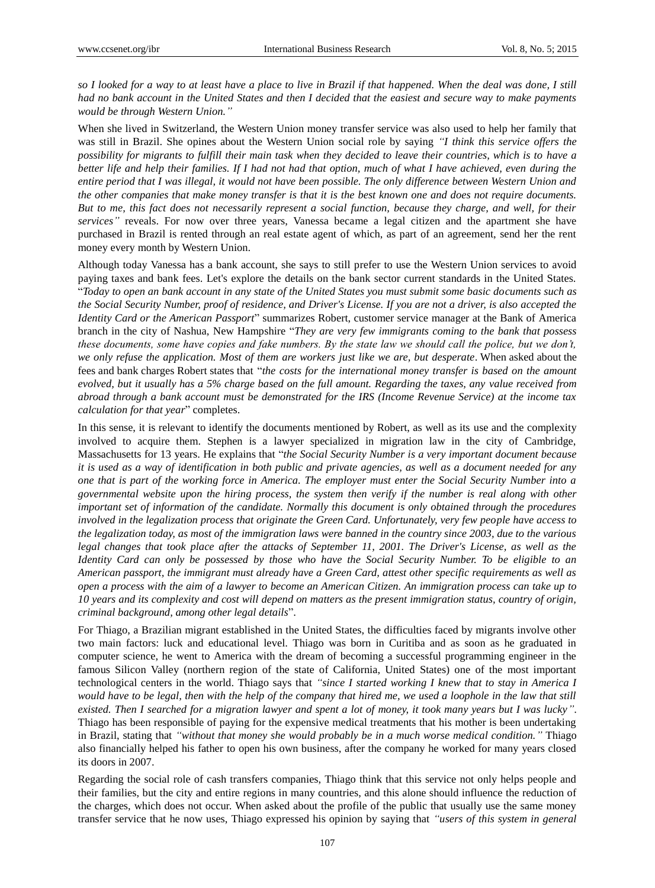*so I looked for a way to at least have a place to live in Brazil if that happened. When the deal was done, I still had no bank account in the United States and then I decided that the easiest and secure way to make payments would be through Western Union."*

When she lived in Switzerland, the Western Union money transfer service was also used to help her family that was still in Brazil. She opines about the Western Union social role by saying *"I think this service offers the possibility for migrants to fulfill their main task when they decided to leave their countries, which is to have a better life and help their families. If I had not had that option, much of what I have achieved, even during the entire period that I was illegal, it would not have been possible. The only difference between Western Union and the other companies that make money transfer is that it is the best known one and does not require documents. But to me, this fact does not necessarily represent a social function, because they charge, and well, for their services"* reveals. For now over three years, Vanessa became a legal citizen and the apartment she have purchased in Brazil is rented through an real estate agent of which, as part of an agreement, send her the rent money every month by Western Union.

Although today Vanessa has a bank account, she says to still prefer to use the Western Union services to avoid paying taxes and bank fees. Let's explore the details on the bank sector current standards in the United States. "*Today to open an bank account in any state of the United States you must submit some basic documents such as the Social Security Number, proof of residence, and Driver's License. If you are not a driver, is also accepted the Identity Card or the American Passport*" summarizes Robert, customer service manager at the Bank of America branch in the city of Nashua, New Hampshire "*They are very few immigrants coming to the bank that possess these documents, some have copies and fake numbers. By the state law we should call the police, but we don't, we only refuse the application. Most of them are workers just like we are, but desperate*. When asked about the fees and bank charges Robert states that "*the costs for the international money transfer is based on the amount evolved, but it usually has a 5% charge based on the full amount. Regarding the taxes, any value received from abroad through a bank account must be demonstrated for the IRS (Income Revenue Service) at the income tax calculation for that year*" completes.

In this sense, it is relevant to identify the documents mentioned by Robert, as well as its use and the complexity involved to acquire them. Stephen is a lawyer specialized in migration law in the city of Cambridge, Massachusetts for 13 years. He explains that "*the Social Security Number is a very important document because it is used as a way of identification in both public and private agencies, as well as a document needed for any one that is part of the working force in America. The employer must enter the Social Security Number into a governmental website upon the hiring process, the system then verify if the number is real along with other important set of information of the candidate. Normally this document is only obtained through the procedures involved in the legalization process that originate the Green Card. Unfortunately, very few people have access to the legalization today, as most of the immigration laws were banned in the country since 2003, due to the various legal changes that took place after the attacks of September 11, 2001. The Driver's License, as well as the Identity Card can only be possessed by those who have the Social Security Number. To be eligible to an American passport, the immigrant must already have a Green Card, attest other specific requirements as well as open a process with the aim of a lawyer to become an American Citizen. An immigration process can take up to 10 years and its complexity and cost will depend on matters as the present immigration status, country of origin, criminal background, among other legal details*".

For Thiago, a Brazilian migrant established in the United States, the difficulties faced by migrants involve other two main factors: luck and educational level. Thiago was born in Curitiba and as soon as he graduated in computer science, he went to America with the dream of becoming a successful programming engineer in the famous Silicon Valley (northern region of the state of California, United States) one of the most important technological centers in the world. Thiago says that *"since I started working I knew that to stay in America I would have to be legal, then with the help of the company that hired me, we used a loophole in the law that still existed. Then I searched for a migration lawyer and spent a lot of money, it took many years but I was lucky"*. Thiago has been responsible of paying for the expensive medical treatments that his mother is been undertaking in Brazil, stating that *"without that money she would probably be in a much worse medical condition."* Thiago also financially helped his father to open his own business, after the company he worked for many years closed its doors in 2007.

Regarding the social role of cash transfers companies, Thiago think that this service not only helps people and their families, but the city and entire regions in many countries, and this alone should influence the reduction of the charges, which does not occur. When asked about the profile of the public that usually use the same money transfer service that he now uses, Thiago expressed his opinion by saying that *"users of this system in general*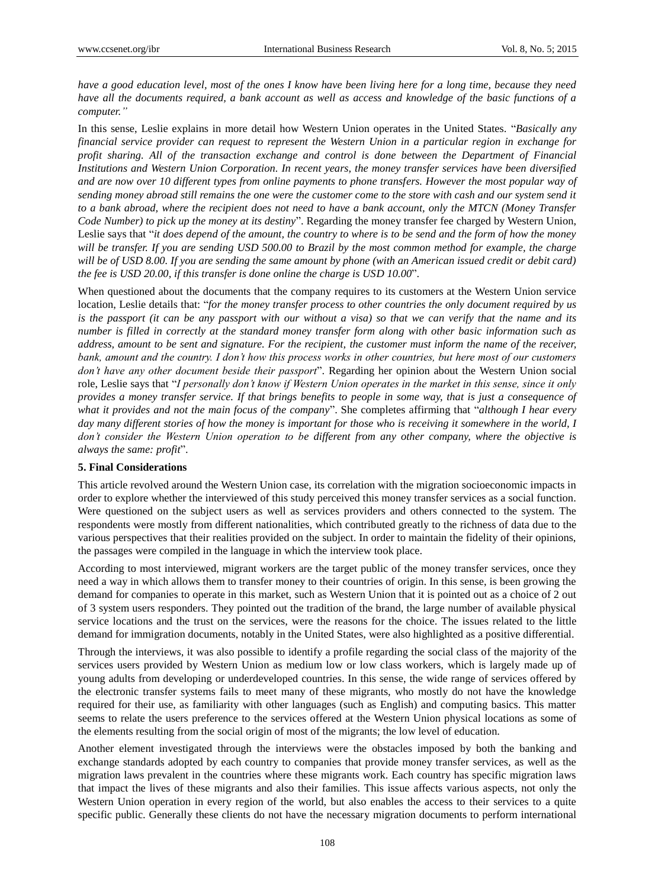*have a good education level, most of the ones I know have been living here for a long time, because they need have all the documents required, a bank account as well as access and knowledge of the basic functions of a computer."*

In this sense, Leslie explains in more detail how Western Union operates in the United States. "*Basically any financial service provider can request to represent the Western Union in a particular region in exchange for profit sharing. All of the transaction exchange and control is done between the Department of Financial Institutions and Western Union Corporation. In recent years, the money transfer services have been diversified and are now over 10 different types from online payments to phone transfers. However the most popular way of sending money abroad still remains the one were the customer come to the store with cash and our system send it to a bank abroad, where the recipient does not need to have a bank account, only the MTCN (Money Transfer Code Number) to pick up the money at its destiny*". Regarding the money transfer fee charged by Western Union, Leslie says that "*it does depend of the amount, the country to where is to be send and the form of how the money will be transfer. If you are sending USD 500.00 to Brazil by the most common method for example, the charge will be of USD 8.00. If you are sending the same amount by phone (with an American issued credit or debit card) the fee is USD 20.00, if this transfer is done online the charge is USD 10.00*".

When questioned about the documents that the company requires to its customers at the Western Union service location, Leslie details that: "*for the money transfer process to other countries the only document required by us is the passport (it can be any passport with our without a visa) so that we can verify that the name and its number is filled in correctly at the standard money transfer form along with other basic information such as address, amount to be sent and signature. For the recipient, the customer must inform the name of the receiver, bank, amount and the country. I don't how this process works in other countries, but here most of our customers don't have any other document beside their passport*". Regarding her opinion about the Western Union social role, Leslie says that "*I personally don't know if Western Union operates in the market in this sense, since it only provides a money transfer service. If that brings benefits to people in some way, that is just a consequence of what it provides and not the main focus of the company*". She completes affirming that "*although I hear every day many different stories of how the money is important for those who is receiving it somewhere in the world, I don't consider the Western Union operation to be different from any other company, where the objective is always the same: profit*".

### **5. Final Considerations**

This article revolved around the Western Union case, its correlation with the migration socioeconomic impacts in order to explore whether the interviewed of this study perceived this money transfer services as a social function. Were questioned on the subject users as well as services providers and others connected to the system. The respondents were mostly from different nationalities, which contributed greatly to the richness of data due to the various perspectives that their realities provided on the subject. In order to maintain the fidelity of their opinions, the passages were compiled in the language in which the interview took place.

According to most interviewed, migrant workers are the target public of the money transfer services, once they need a way in which allows them to transfer money to their countries of origin. In this sense, is been growing the demand for companies to operate in this market, such as Western Union that it is pointed out as a choice of 2 out of 3 system users responders. They pointed out the tradition of the brand, the large number of available physical service locations and the trust on the services, were the reasons for the choice. The issues related to the little demand for immigration documents, notably in the United States, were also highlighted as a positive differential.

Through the interviews, it was also possible to identify a profile regarding the social class of the majority of the services users provided by Western Union as medium low or low class workers, which is largely made up of young adults from developing or underdeveloped countries. In this sense, the wide range of services offered by the electronic transfer systems fails to meet many of these migrants, who mostly do not have the knowledge required for their use, as familiarity with other languages (such as English) and computing basics. This matter seems to relate the users preference to the services offered at the Western Union physical locations as some of the elements resulting from the social origin of most of the migrants; the low level of education.

Another element investigated through the interviews were the obstacles imposed by both the banking and exchange standards adopted by each country to companies that provide money transfer services, as well as the migration laws prevalent in the countries where these migrants work. Each country has specific migration laws that impact the lives of these migrants and also their families. This issue affects various aspects, not only the Western Union operation in every region of the world, but also enables the access to their services to a quite specific public. Generally these clients do not have the necessary migration documents to perform international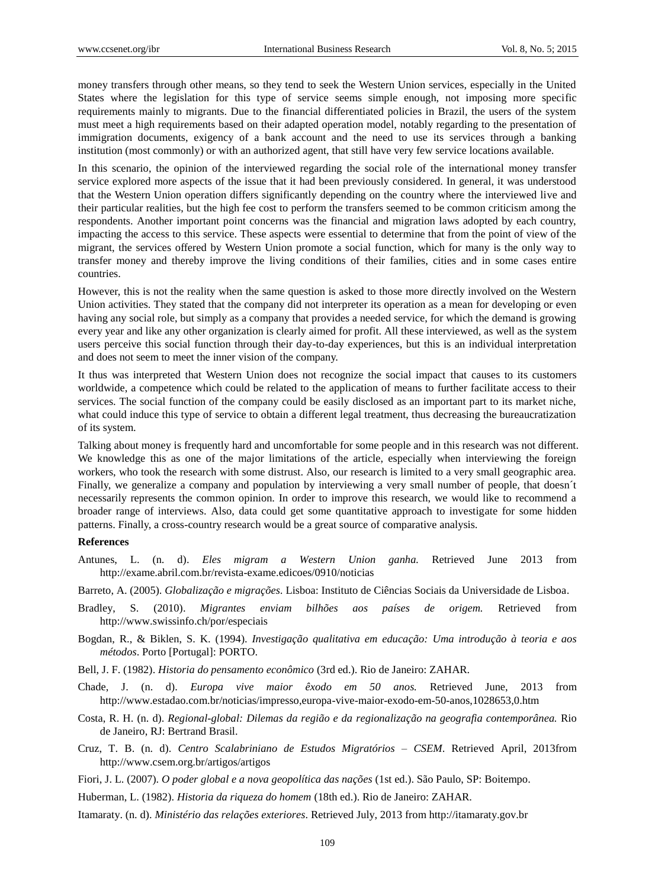money transfers through other means, so they tend to seek the Western Union services, especially in the United States where the legislation for this type of service seems simple enough, not imposing more specific requirements mainly to migrants. Due to the financial differentiated policies in Brazil, the users of the system must meet a high requirements based on their adapted operation model, notably regarding to the presentation of immigration documents, exigency of a bank account and the need to use its services through a banking institution (most commonly) or with an authorized agent, that still have very few service locations available.

In this scenario, the opinion of the interviewed regarding the social role of the international money transfer service explored more aspects of the issue that it had been previously considered. In general, it was understood that the Western Union operation differs significantly depending on the country where the interviewed live and their particular realities, but the high fee cost to perform the transfers seemed to be common criticism among the respondents. Another important point concerns was the financial and migration laws adopted by each country, impacting the access to this service. These aspects were essential to determine that from the point of view of the migrant, the services offered by Western Union promote a social function, which for many is the only way to transfer money and thereby improve the living conditions of their families, cities and in some cases entire countries.

However, this is not the reality when the same question is asked to those more directly involved on the Western Union activities. They stated that the company did not interpreter its operation as a mean for developing or even having any social role, but simply as a company that provides a needed service, for which the demand is growing every year and like any other organization is clearly aimed for profit. All these interviewed, as well as the system users perceive this social function through their day-to-day experiences, but this is an individual interpretation and does not seem to meet the inner vision of the company.

It thus was interpreted that Western Union does not recognize the social impact that causes to its customers worldwide, a competence which could be related to the application of means to further facilitate access to their services. The social function of the company could be easily disclosed as an important part to its market niche, what could induce this type of service to obtain a different legal treatment, thus decreasing the bureaucratization of its system.

Talking about money is frequently hard and uncomfortable for some people and in this research was not different. We knowledge this as one of the major limitations of the article, especially when interviewing the foreign workers, who took the research with some distrust. Also, our research is limited to a very small geographic area. Finally, we generalize a company and population by interviewing a very small number of people, that doesn  $t$ necessarily represents the common opinion. In order to improve this research, we would like to recommend a broader range of interviews. Also, data could get some quantitative approach to investigate for some hidden patterns. Finally, a cross-country research would be a great source of comparative analysis.

### **References**

- Antunes, L. (n. d). *Eles migram a Western Union ganha.* Retrieved June 2013 from http://exame.abril.com.br/revista-exame.edicoes/0910/noticias
- Barreto, A. (2005). *Globalização e migrações.* Lisboa: Instituto de Ciências Sociais da Universidade de Lisboa.
- Bradley, S. (2010). *Migrantes enviam bilhões aos países de origem.* Retrieved from http://www.swissinfo.ch/por/especiais
- Bogdan, R., & Biklen, S. K. (1994). *Investigação qualitativa em educação: Uma introdução à teoria e aos métodos*. Porto [Portugal]: PORTO.
- Bell, J. F. (1982). *Historia do pensamento econômico* (3rd ed.). Rio de Janeiro: ZAHAR.
- Chade, J. (n. d). *Europa vive maior êxodo em 50 anos.* Retrieved June, 2013 from http://www.estadao.com.br/noticias/impresso,europa-vive-maior-exodo-em-50-anos,1028653,0.htm
- Costa, R. H. (n. d). *Regional-global: Dilemas da região e da regionalização na geografia contemporânea.* Rio de Janeiro, RJ: Bertrand Brasil.
- Cruz, T. B. (n. d). *Centro Scalabriniano de Estudos Migratórios – CSEM*. Retrieved April, 2013from http://www.csem.org.br/artigos/artigos
- Fiori, J. L. (2007). *O poder global e a nova geopolítica das nações* (1st ed.). São Paulo, SP: Boitempo.
- Huberman, L. (1982). *Historia da riqueza do homem* (18th ed.). Rio de Janeiro: ZAHAR.
- Itamaraty. (n. d). *Ministério das relações exteriores*. Retrieved July, 2013 from http://itamaraty.gov.br